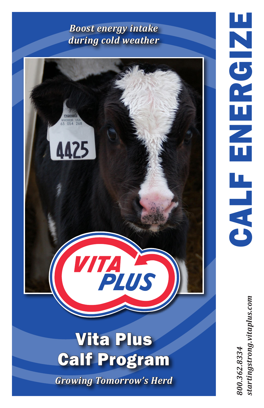## *Boost energy intake during cold weather*



startingstrong.vitaplus.com *800.362.8334 startingstrong.vitaplus.com*800.362.8334